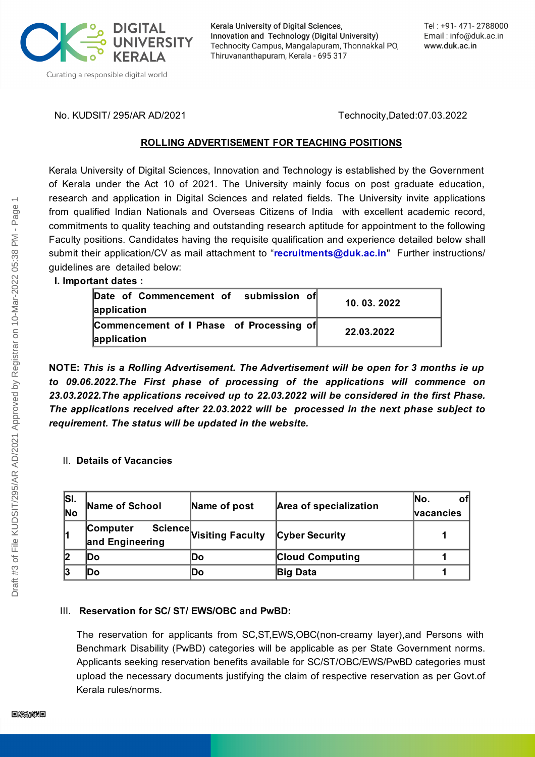

Kerala University of Digital Sciences, Innovation and Technology (Digital University) Technocity Campus, Mangalapuram, Thonnakkal PO, Thiruvananthapuram, Kerala - 695 317

No. KUDSIT/ 295/AR AD/2021 Technocity,Dated:07.03.2022

#### **ROLLING ADVERTISEMENT FOR TEACHING POSITIONS**

Kerala University of Digital Sciences, Innovation and Technology is established by the Government of Kerala under the Act 10 of 2021. The University mainly focus on post graduate education, research and application in Digital Sciences and related fields. The University invite applications from qualified Indian Nationals and Overseas Citizens of India with excellent academic record, commitments to quality teaching and outstanding research aptitude for appointment to the following Faculty positions. Candidates having the requisite qualification and experience detailed below shall submit their application/CV as mail attachment to "**[recruitments@duk.ac.in](mailto:recruitments@duk.ac.in)**" Further instructions/ guidelines are detailed below:

#### **I. Important dates :**

| Date of Commencement of submission of<br>application    | 10.03.2022 |
|---------------------------------------------------------|------------|
| Commencement of I Phase of Processing of<br>application | 22.03.2022 |

**NOTE:** *This is a Rolling Advertisement. The Advertisement will be open for 3 months ie up to 09.06.2022.The First phase of processing of the applications will commence on 23.03.2022.The applications received up to 22.03.2022 will be considered in the first Phase. The applications received after 22.03.2022 will be processed in the next phase subject to requirement. The status will be updated in the website.*

## II. **Details of Vacancies**

| ISI.<br>$\overline{\textsf{No}}$ | Name of School              | Name of post             | Area of specialization | lNo.<br>οf<br><b>Nacancies</b> |
|----------------------------------|-----------------------------|--------------------------|------------------------|--------------------------------|
|                                  | Computer<br>and Engineering | Science Visiting Faculty | <b>Cyber Security</b>  |                                |
|                                  | lDo                         | Do                       | <b>Cloud Computing</b> |                                |
|                                  | lDo                         | Do                       | <b>Big Data</b>        |                                |

## III. **Reservation for SC/ ST/ EWS/OBC and PwBD:**

The reservation for applicants from SC,ST,EWS,OBC(non-creamy layer),and Persons with Benchmark Disability (PwBD) categories will be applicable as per State Government norms. Applicants seeking reservation benefits available for SC/ST/OBC/EWS/PwBD categories must upload the necessary documents justifying the claim of respective reservation as per Govt.of Kerala rules/norms.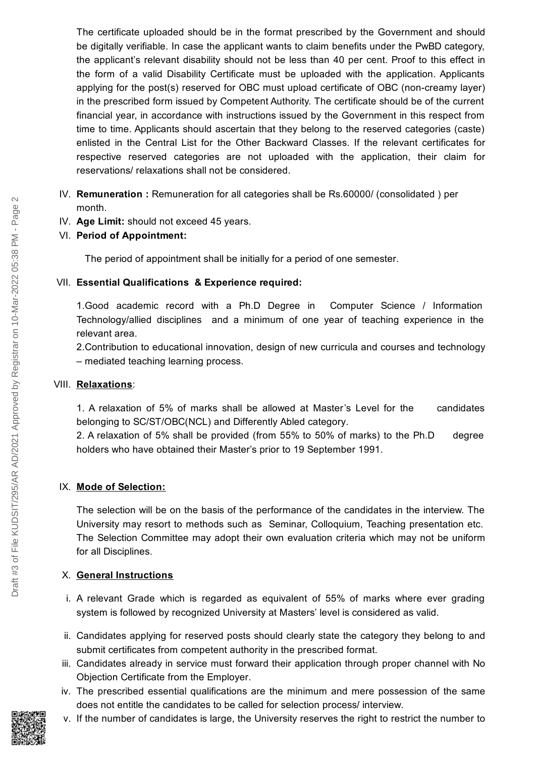The certificate uploaded should be in the format prescribed by the Government and should be digitally verifiable. In case the applicant wants to claim benefits under the PwBD category, the applicant's relevant disability should not be less than 40 per cent. Proof to this effect in the form of a valid Disability Certificate must be uploaded with the application. Applicants applying for the post(s) reserved for OBC must upload certificate of OBC (non-creamy layer) in the prescribed form issued by Competent Authority. The certificate should be of the current financial year, in accordance with instructions issued by the Government in this respect from time to time. Applicants should ascertain that they belong to the reserved categories (caste) enlisted in the Central List for the Other Backward Classes. If the relevant certificates for respective reserved categories are not uploaded with the application, their claim for reservations/ relaxations shall not be considered.

# IV. **Remuneration :** Remuneration for all categories shall be Rs.60000/ (consolidated ) per month.

IV. **Age Limit:** should not exceed 45 years.

## VI. **Period of Appointment:**

The period of appointment shall be initially for a period of one semester.

#### VII. **Essential Qualifications & Experience required:**

1.Good academic record with a Ph.D Degree in Computer Science / Information Technology/allied disciplines and a minimum of one year of teaching experience in the relevant area.

2.Contribution to educational innovation, design of new curricula and courses and technology – mediated teaching learning process.

## VIII. **Relaxations**:

1. A relaxation of 5% of marks shall be allowed at Master's Level for the candidates belonging to SC/ST/OBC(NCL) and Differently Abled category.

2. A relaxation of 5% shall be provided (from 55% to 50% of marks) to the Ph.D degree holders who have obtained their Master's prior to 19 September 1991.

## IX. **Mode of Selection:**

The selection will be on the basis of the performance of the candidates in the interview. The University may resort to methods such as Seminar, Colloquium, Teaching presentation etc. The Selection Committee may adopt their own evaluation criteria which may not be uniform for all Disciplines.

## X. **General Instructions**

- i. A relevant Grade which is regarded as equivalent of 55% of marks where ever grading system is followed by recognized University at Masters' level is considered as valid.
- ii. Candidates applying for reserved posts should clearly state the category they belong to and submit certificates from competent authority in the prescribed format.
- iii. Candidates already in service must forward their application through proper channel with No Objection Certificate from the Employer.
- iv. The prescribed essential qualifications are the minimum and mere possession of the same does not entitle the candidates to be called for selection process/ interview.
- v. If the number of candidates is large, the University reserves the right to restrict the number to

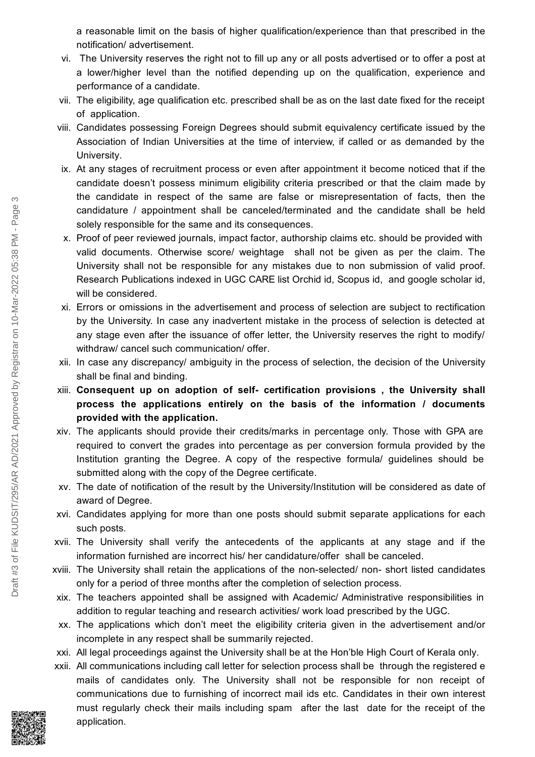a reasonable limit on the basis of higher qualification/experience than that prescribed in the notification/ advertisement.

- vi. The University reserves the right not to fill up any or all posts advertised or to offer a post at a lower/higher level than the notified depending up on the qualification, experience and performance of a candidate.
- vii. The eligibility, age qualification etc. prescribed shall be as on the last date fixed for the receipt of application.
- viii. Candidates possessing Foreign Degrees should submit equivalency certificate issued by the Association of Indian Universities at the time of interview, if called or as demanded by the University.
- ix. At any stages of recruitment process or even after appointment it become noticed that if the candidate doesn't possess minimum eligibility criteria prescribed or that the claim made by the candidate in respect of the same are false or misrepresentation of facts, then the candidature / appointment shall be canceled/terminated and the candidate shall be held solely responsible for the same and its consequences.
- x. Proof of peer reviewed journals, impact factor, authorship claims etc. should be provided with valid documents. Otherwise score/ weightage shall not be given as per the claim. The University shall not be responsible for any mistakes due to non submission of valid proof. Research Publications indexed in UGC CARE list Orchid id, Scopus id, and google scholar id, will be considered.
- xi. Errors or omissions in the advertisement and process of selection are subject to rectification by the University. In case any inadvertent mistake in the process of selection is detected at any stage even after the issuance of offer letter, the University reserves the right to modify/ withdraw/ cancel such communication/ offer.
- xii. In case any discrepancy/ ambiguity in the process of selection, the decision of the University shall be final and binding.
- xiii. **Consequent up on adoption of self- certification provisions , the University shall process the applications entirely on the basis of the information / documents provided with the application.**
- xiv. The applicants should provide their credits/marks in percentage only. Those with GPA are required to convert the grades into percentage as per conversion formula provided by the Institution granting the Degree. A copy of the respective formula/ guidelines should be submitted along with the copy of the Degree certificate.
- xv. The date of notification of the result by the University/Institution will be considered as date of award of Degree.
- xvi. Candidates applying for more than one posts should submit separate applications for each such posts.
- xvii. The University shall verify the antecedents of the applicants at any stage and if the information furnished are incorrect his/ her candidature/offer shall be canceled.
- xviii. The University shall retain the applications of the non-selected/ non- short listed candidates only for a period of three months after the completion of selection process.
- xix. The teachers appointed shall be assigned with Academic/ Administrative responsibilities in addition to regular teaching and research activities/ work load prescribed by the UGC.
- xx. The applications which don't meet the eligibility criteria given in the advertisement and/or incomplete in any respect shall be summarily rejected.
- xxi. All legal proceedings against the University shall be at the Hon'ble High Court of Kerala only.
- xxii. All communications including call letter for selection process shall be through the registered e mails of candidates only. The University shall not be responsible for non receipt of communications due to furnishing of incorrect mail ids etc. Candidates in their own interest must regularly check their mails including spam after the last date for the receipt of the application.

Draft #3 of File KUDSIT/295/AR AD/2021 Approved by Registrar on 10-Mar-2022 05:38 PM - Page 3

Draft #3 of File KUDSIT/295/AR AD/2021 Approved by Registrar on 10-Mar-2022 05:38 PM - Page

ന

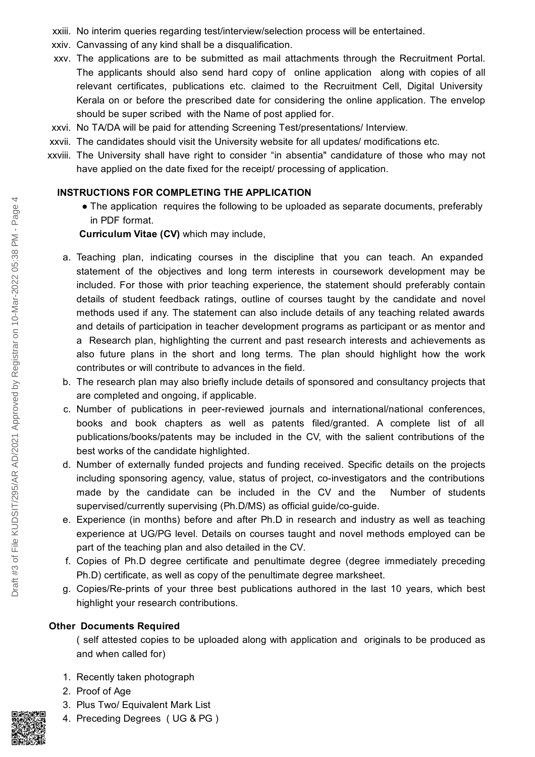- xxiii. No interim queries regarding test/interview/selection process will be entertained.
- xxiv. Canvassing of any kind shall be a disqualification.
- xxv. The applications are to be submitted as mail attachments through the Recruitment Portal. The applicants should also send hard copy of online application along with copies of all relevant certificates, publications etc. claimed to the Recruitment Cell, Digital University Kerala on or before the prescribed date for considering the online application. The envelop should be super scribed with the Name of post applied for.
- xxvi. No TA/DA will be paid for attending Screening Test/presentations/ Interview.
- xxvii. The candidates should visit the University website for all updates/ modifications etc.
- xxviii. The University shall have right to consider "in absentia" candidature of those who may not have applied on the date fixed for the receipt/ processing of application.

## **INSTRUCTIONS FOR COMPLETING THE APPLICATION**

• The application requires the following to be uploaded as separate documents, preferably in PDF format.

## **Curriculum Vitae (CV)** which may include,

- a. Teaching plan, indicating courses in the discipline that you can teach. An expanded statement of the objectives and long term interests in coursework development may be included. For those with prior teaching experience, the statement should preferably contain details of student feedback ratings, outline of courses taught by the candidate and novel methods used if any. The statement can also include details of any teaching related awards and details of participation in teacher development programs as participant or as mentor and a Research plan, highlighting the current and past research interests and achievements as also future plans in the short and long terms. The plan should highlight how the work contributes or will contribute to advances in the field.
- b. The research plan may also briefly include details of sponsored and consultancy projects that are completed and ongoing, if applicable.
- c. Number of publications in peer-reviewed journals and international/national conferences, books and book chapters as well as patents filed/granted. A complete list of all publications/books/patents may be included in the CV, with the salient contributions of the best works of the candidate highlighted.
- d. Number of externally funded projects and funding received. Specific details on the projects including sponsoring agency, value, status of project, co-investigators and the contributions made by the candidate can be included in the CV and the Number of students supervised/currently supervising (Ph.D/MS) as official guide/co-guide.
- e. Experience (in months) before and after Ph.D in research and industry as well as teaching experience at UG/PG level. Details on courses taught and novel methods employed can be part of the teaching plan and also detailed in the CV.
- f. Copies of Ph.D degree certificate and penultimate degree (degree immediately preceding Ph.D) certificate, as well as copy of the penultimate degree marksheet.
- g. Copies/Re-prints of your three best publications authored in the last 10 years, which best highlight your research contributions.

## **Other Documents Required**

( self attested copies to be uploaded along with application and originals to be produced as and when called for)

- 1. Recently taken photograph
- 2. Proof of Age
- 3. Plus Two/ Equivalent Mark List
- 4. Preceding Degrees ( UG & PG )